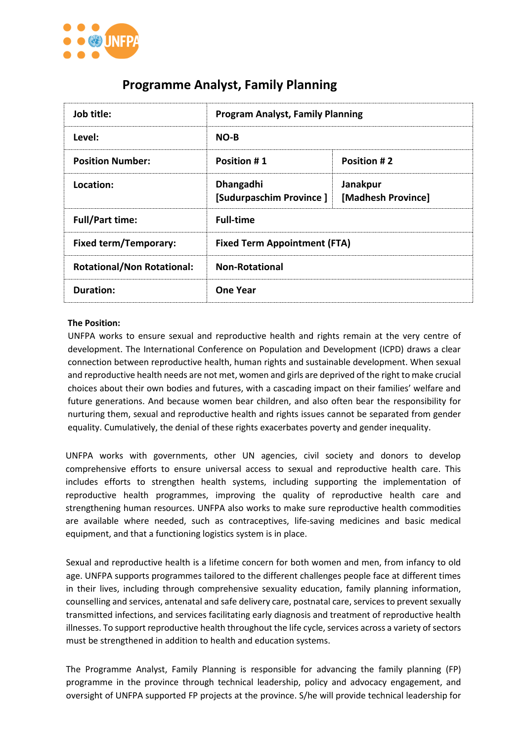

# **Programme Analyst, Family Planning**

| Job title:                        | <b>Program Analyst, Family Planning</b> |                                |
|-----------------------------------|-----------------------------------------|--------------------------------|
| Level:                            | $NO-B$                                  |                                |
| <b>Position Number:</b>           | Position #1                             | <b>Position #2</b>             |
| Location:                         | Dhangadhi<br>[Sudurpaschim Province]    | Janakpur<br>[Madhesh Province] |
| <b>Full/Part time:</b>            | <b>Full-time</b>                        |                                |
| <b>Fixed term/Temporary:</b>      | <b>Fixed Term Appointment (FTA)</b>     |                                |
| <b>Rotational/Non Rotational:</b> | <b>Non-Rotational</b>                   |                                |
| Duration:                         | <b>One Year</b>                         |                                |

#### **The Position:**

UNFPA works to ensure sexual and reproductive health and rights remain at the very centre of development. The International Conference on Population and Development (ICPD) draws a clear connection between reproductive health, human rights and sustainable development. When sexual and reproductive health needs are not met, women and girls are deprived of the right to make crucial choices about their own bodies and futures, with a cascading impact on their families' welfare and future generations. And because women bear children, and also often bear the responsibility for nurturing them, sexual and reproductive health and rights issues cannot be separated from gender equality. Cumulatively, the denial of these rights exacerbates poverty and gender inequality.

UNFPA works with governments, other UN agencies, civil society and donors to develop comprehensive efforts to ensure universal access to sexual and reproductive health care. This includes efforts to strengthen health systems, including supporting the implementation of reproductive health programmes, improving the quality of reproductive health care and strengthening human resources. UNFPA also works to make sure reproductive health commodities are available where needed, such as contraceptives, life-saving medicines and basic medical equipment, and that a functioning logistics system is in place.

Sexual and reproductive health is a lifetime concern for both women and men, from infancy to old age. UNFPA supports programmes tailored to the different challenges people face at different times in their lives, including through comprehensive sexuality education, family planning information, counselling and services, antenatal and safe delivery care, postnatal care, services to prevent sexually transmitted infections, and services facilitating early diagnosis and treatment of reproductive health illnesses. To support reproductive health throughout the life cycle, services across a variety of sectors must be strengthened in addition to health and education systems.

The Programme Analyst, Family Planning is responsible for advancing the family planning (FP) programme in the province through technical leadership, policy and advocacy engagement, and oversight of UNFPA supported FP projects at the province. S/he will provide technical leadership for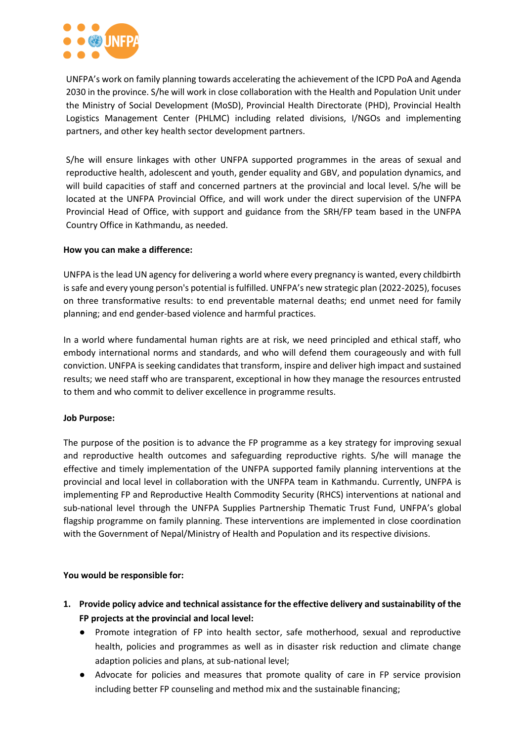

UNFPA's work on family planning towards accelerating the achievement of the ICPD PoA and Agenda 2030 in the province. S/he will work in close collaboration with the Health and Population Unit under the Ministry of Social Development (MoSD), Provincial Health Directorate (PHD), Provincial Health Logistics Management Center (PHLMC) including related divisions, I/NGOs and implementing partners, and other key health sector development partners.

S/he will ensure linkages with other UNFPA supported programmes in the areas of sexual and reproductive health, adolescent and youth, gender equality and GBV, and population dynamics, and will build capacities of staff and concerned partners at the provincial and local level. S/he will be located at the UNFPA Provincial Office, and will work under the direct supervision of the UNFPA Provincial Head of Office, with support and guidance from the SRH/FP team based in the UNFPA Country Office in Kathmandu, as needed.

#### **How you can make a difference:**

UNFPA is the lead UN agency for delivering a world where every pregnancy is wanted, every childbirth is safe and every young person's potential is fulfilled. UNFPA's new strategic plan (2022-2025), focuses on three transformative results: to end preventable maternal deaths; end unmet need for family planning; and end gender-based violence and harmful practices.

In a world where fundamental human rights are at risk, we need principled and ethical staff, who embody international norms and standards, and who will defend them courageously and with full conviction. UNFPA is seeking candidates that transform, inspire and deliver high impact and sustained results; we need staff who are transparent, exceptional in how they manage the resources entrusted to them and who commit to deliver excellence in programme results.

#### **Job Purpose:**

The purpose of the position is to advance the FP programme as a key strategy for improving sexual and reproductive health outcomes and safeguarding reproductive rights. S/he will manage the effective and timely implementation of the UNFPA supported family planning interventions at the provincial and local level in collaboration with the UNFPA team in Kathmandu. Currently, UNFPA is implementing FP and Reproductive Health Commodity Security (RHCS) interventions at national and sub-national level through the UNFPA Supplies Partnership Thematic Trust Fund, UNFPA's global flagship programme on family planning. These interventions are implemented in close coordination with the Government of Nepal/Ministry of Health and Population and its respective divisions.

#### **You would be responsible for:**

- **1. Provide policy advice and technical assistance for the effective delivery and sustainability of the FP projects at the provincial and local level:**
	- Promote integration of FP into health sector, safe motherhood, sexual and reproductive health, policies and programmes as well as in disaster risk reduction and climate change adaption policies and plans, at sub-national level;
	- Advocate for policies and measures that promote quality of care in FP service provision including better FP counseling and method mix and the sustainable financing;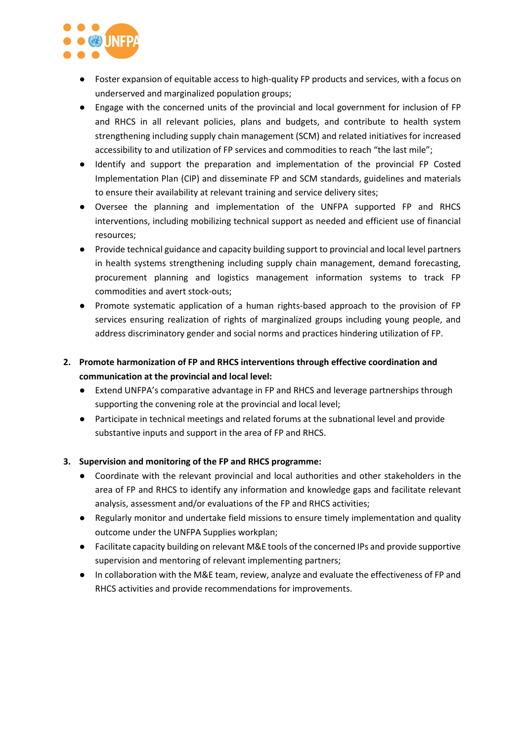

- Foster expansion of equitable access to high-quality FP products and services, with a focus on underserved and marginalized population groups;
- Engage with the concerned units of the provincial and local government for inclusion of FP and RHCS in all relevant policies, plans and budgets, and contribute to health system strengthening including supply chain management (SCM) and related initiatives for increased accessibility to and utilization of FP services and commodities to reach "the last mile";
- Identify and support the preparation and implementation of the provincial FP Costed Implementation Plan (CIP) and disseminate FP and SCM standards, guidelines and materials to ensure their availability at relevant training and service delivery sites;
- Oversee the planning and implementation of the UNFPA supported FP and RHCS interventions, including mobilizing technical support as needed and efficient use of financial resources;
- Provide technical guidance and capacity building support to provincial and local level partners in health systems strengthening including supply chain management, demand forecasting, procurement planning and logistics management information systems to track FP commodities and avert stock-outs;
- Promote systematic application of a human rights-based approach to the provision of FP services ensuring realization of rights of marginalized groups including young people, and address discriminatory gender and social norms and practices hindering utilization of FP.
- **2. Promote harmonization of FP and RHCS interventions through effective coordination and communication at the provincial and local level:**
	- Extend UNFPA's comparative advantage in FP and RHCS and leverage partnerships through supporting the convening role at the provincial and local level;
	- Participate in technical meetings and related forums at the subnational level and provide substantive inputs and support in the area of FP and RHCS.

## **3. Supervision and monitoring of the FP and RHCS programme:**

- Coordinate with the relevant provincial and local authorities and other stakeholders in the area of FP and RHCS to identify any information and knowledge gaps and facilitate relevant analysis, assessment and/or evaluations of the FP and RHCS activities;
- Regularly monitor and undertake field missions to ensure timely implementation and quality outcome under the UNFPA Supplies workplan;
- Facilitate capacity building on relevant M&E tools of the concerned IPs and provide supportive supervision and mentoring of relevant implementing partners;
- In collaboration with the M&E team, review, analyze and evaluate the effectiveness of FP and RHCS activities and provide recommendations for improvements.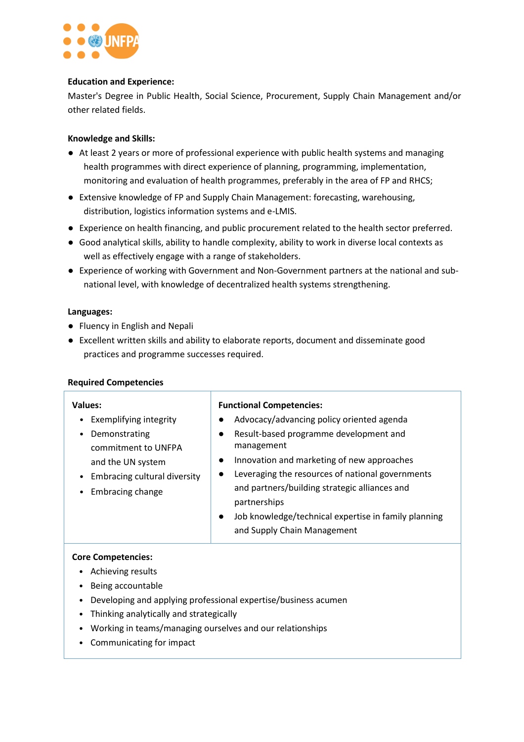

#### **Education and Experience:**

Master's Degree in Public Health, Social Science, Procurement, Supply Chain Management and/or other related fields.

### **Knowledge and Skills:**

- At least 2 years or more of professional experience with public health systems and managing health programmes with direct experience of planning, programming, implementation, monitoring and evaluation of health programmes, preferably in the area of FP and RHCS;
- Extensive knowledge of FP and Supply Chain Management: forecasting, warehousing, distribution, logistics information systems and e-LMIS.
- Experience on health financing, and public procurement related to the health sector preferred.
- Good analytical skills, ability to handle complexity, ability to work in diverse local contexts as well as effectively engage with a range of stakeholders.
- Experience of working with Government and Non-Government partners at the national and subnational level, with knowledge of decentralized health systems strengthening.

#### **Languages:**

- Fluency in English and Nepali
- Excellent written skills and ability to elaborate reports, document and disseminate good practices and programme successes required.

|  | <b>Required Competencies</b> |
|--|------------------------------|
|--|------------------------------|

| Values:<br>Exemplifying integrity<br>Demonstrating<br>commitment to UNFPA<br>and the UN system | <b>Functional Competencies:</b><br>Advocacy/advancing policy oriented agenda<br>Result-based programme development and<br>$\bullet$<br>management<br>Innovation and marketing of new approaches<br>$\bullet$                       |
|------------------------------------------------------------------------------------------------|------------------------------------------------------------------------------------------------------------------------------------------------------------------------------------------------------------------------------------|
| Embracing cultural diversity<br>Embracing change                                               | Leveraging the resources of national governments<br>$\bullet$<br>and partners/building strategic alliances and<br>partnerships<br>Job knowledge/technical expertise in family planning<br>$\bullet$<br>and Supply Chain Management |

# **Core Competencies:**

- Achieving results
- Being accountable
- Developing and applying professional expertise/business acumen
- Thinking analytically and strategically
- Working in teams/managing ourselves and our relationships
- Communicating for impact